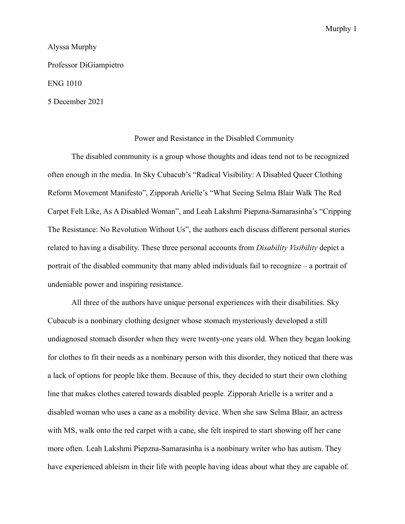## Alyssa Murphy

Professor DiGiampietro

## ENG 1010

5 December 2021

## Power and Resistance in the Disabled Community

The disabled community is a group whose thoughts and ideas tend not to be recognized often enough in the media. In Sky Cubacub's "Radical Visibility: A Disabled Queer Clothing Reform Movement Manifesto", Zipporah Arielle's "What Seeing Selma Blair Walk The Red Carpet Felt Like, As A Disabled Woman", and Leah Lakshmi Piepzna-Samarasinha's "Cripping The Resistance: No Revolution Without Us", the authors each discuss different personal stories related to having a disability. These three personal accounts from *Disability Visibility* depict a portrait of the disabled community that many abled individuals fail to recognize – a portrait of undeniable power and inspiring resistance.

All three of the authors have unique personal experiences with their disabilities. Sky Cubacub is a nonbinary clothing designer whose stomach mysteriously developed a still undiagnosed stomach disorder when they were twenty-one years old. When they began looking for clothes to fit their needs as a nonbinary person with this disorder, they noticed that there was a lack of options for people like them. Because of this, they decided to start their own clothing line that makes clothes catered towards disabled people. Zipporah Arielle is a writer and a disabled woman who uses a cane as a mobility device. When she saw Selma Blair, an actress with MS, walk onto the red carpet with a cane, she felt inspired to start showing off her cane more often. Leah Lakshmi Piepzna-Samarasinha is a nonbinary writer who has autism. They have experienced ableism in their life with people having ideas about what they are capable of.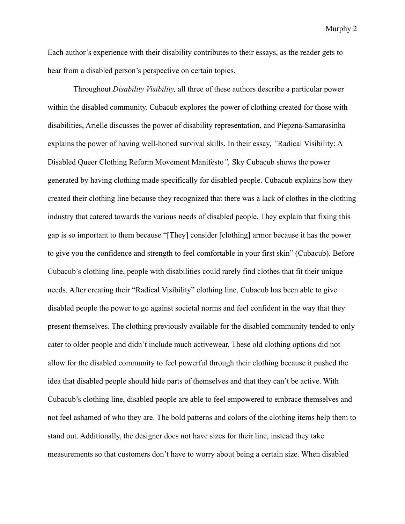Each author's experience with their disability contributes to their essays, as the reader gets to hear from a disabled person's perspective on certain topics.

Throughout *Disability Visibility,* all three of these authors describe a particular power within the disabled community. Cubacub explores the power of clothing created for those with disabilities, Arielle discusses the power of disability representation, and Piepzna-Samarasinha explains the power of having well-honed survival skills. In their essay, *"*Radical Visibility: A Disabled Queer Clothing Reform Movement Manifesto*",* Sky Cubacub shows the power generated by having clothing made specifically for disabled people. Cubacub explains how they created their clothing line because they recognized that there was a lack of clothes in the clothing industry that catered towards the various needs of disabled people. They explain that fixing this gap is so important to them because "[They] consider [clothing] armor because it has the power to give you the confidence and strength to feel comfortable in your first skin" (Cubacub). Before Cubacub's clothing line, people with disabilities could rarely find clothes that fit their unique needs. After creating their "Radical Visibility" clothing line, Cubacub has been able to give disabled people the power to go against societal norms and feel confident in the way that they present themselves. The clothing previously available for the disabled community tended to only cater to older people and didn't include much activewear. These old clothing options did not allow for the disabled community to feel powerful through their clothing because it pushed the idea that disabled people should hide parts of themselves and that they can't be active. With Cubacub's clothing line, disabled people are able to feel empowered to embrace themselves and not feel ashamed of who they are. The bold patterns and colors of the clothing items help them to stand out. Additionally, the designer does not have sizes for their line, instead they take measurements so that customers don't have to worry about being a certain size. When disabled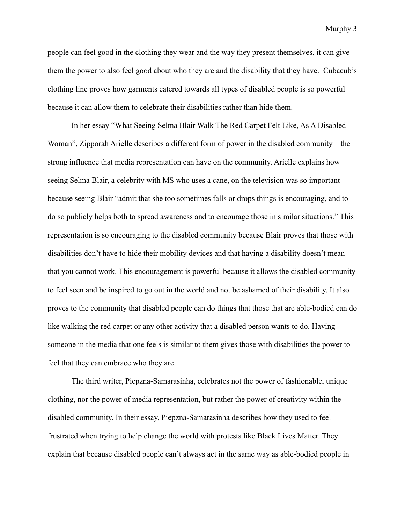people can feel good in the clothing they wear and the way they present themselves, it can give them the power to also feel good about who they are and the disability that they have. Cubacub's clothing line proves how garments catered towards all types of disabled people is so powerful because it can allow them to celebrate their disabilities rather than hide them.

In her essay "What Seeing Selma Blair Walk The Red Carpet Felt Like, As A Disabled Woman", Zipporah Arielle describes a different form of power in the disabled community – the strong influence that media representation can have on the community. Arielle explains how seeing Selma Blair, a celebrity with MS who uses a cane, on the television was so important because seeing Blair "admit that she too sometimes falls or drops things is encouraging, and to do so publicly helps both to spread awareness and to encourage those in similar situations." This representation is so encouraging to the disabled community because Blair proves that those with disabilities don't have to hide their mobility devices and that having a disability doesn't mean that you cannot work. This encouragement is powerful because it allows the disabled community to feel seen and be inspired to go out in the world and not be ashamed of their disability. It also proves to the community that disabled people can do things that those that are able-bodied can do like walking the red carpet or any other activity that a disabled person wants to do. Having someone in the media that one feels is similar to them gives those with disabilities the power to feel that they can embrace who they are.

The third writer, Piepzna-Samarasinha, celebrates not the power of fashionable, unique clothing, nor the power of media representation, but rather the power of creativity within the disabled community. In their essay, Piepzna-Samarasinha describes how they used to feel frustrated when trying to help change the world with protests like Black Lives Matter. They explain that because disabled people can't always act in the same way as able-bodied people in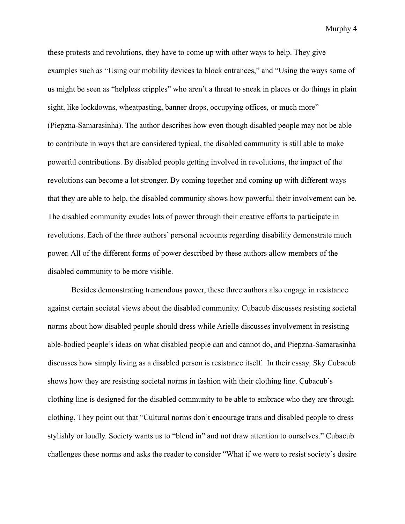these protests and revolutions, they have to come up with other ways to help. They give examples such as "Using our mobility devices to block entrances," and "Using the ways some of us might be seen as "helpless cripples" who aren't a threat to sneak in places or do things in plain sight, like lockdowns, wheatpasting, banner drops, occupying offices, or much more" (Piepzna-Samarasinha). The author describes how even though disabled people may not be able to contribute in ways that are considered typical, the disabled community is still able to make powerful contributions. By disabled people getting involved in revolutions, the impact of the revolutions can become a lot stronger. By coming together and coming up with different ways that they are able to help, the disabled community shows how powerful their involvement can be. The disabled community exudes lots of power through their creative efforts to participate in revolutions. Each of the three authors' personal accounts regarding disability demonstrate much power. All of the different forms of power described by these authors allow members of the disabled community to be more visible.

Besides demonstrating tremendous power, these three authors also engage in resistance against certain societal views about the disabled community. Cubacub discusses resisting societal norms about how disabled people should dress while Arielle discusses involvement in resisting able-bodied people's ideas on what disabled people can and cannot do, and Piepzna-Samarasinha discusses how simply living as a disabled person is resistance itself. In their essay*,* Sky Cubacub shows how they are resisting societal norms in fashion with their clothing line. Cubacub's clothing line is designed for the disabled community to be able to embrace who they are through clothing. They point out that "Cultural norms don't encourage trans and disabled people to dress stylishly or loudly. Society wants us to "blend in" and not draw attention to ourselves." Cubacub challenges these norms and asks the reader to consider "What if we were to resist society's desire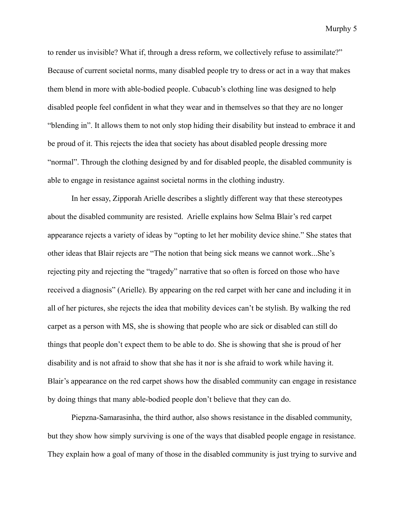to render us invisible? What if, through a dress reform, we collectively refuse to assimilate?" Because of current societal norms, many disabled people try to dress or act in a way that makes them blend in more with able-bodied people. Cubacub's clothing line was designed to help disabled people feel confident in what they wear and in themselves so that they are no longer "blending in". It allows them to not only stop hiding their disability but instead to embrace it and be proud of it. This rejects the idea that society has about disabled people dressing more "normal". Through the clothing designed by and for disabled people, the disabled community is able to engage in resistance against societal norms in the clothing industry.

In her essay, Zipporah Arielle describes a slightly different way that these stereotypes about the disabled community are resisted. Arielle explains how Selma Blair's red carpet appearance rejects a variety of ideas by "opting to let her mobility device shine." She states that other ideas that Blair rejects are "The notion that being sick means we cannot work...She's rejecting pity and rejecting the "tragedy" narrative that so often is forced on those who have received a diagnosis" (Arielle). By appearing on the red carpet with her cane and including it in all of her pictures, she rejects the idea that mobility devices can't be stylish. By walking the red carpet as a person with MS, she is showing that people who are sick or disabled can still do things that people don't expect them to be able to do. She is showing that she is proud of her disability and is not afraid to show that she has it nor is she afraid to work while having it. Blair's appearance on the red carpet shows how the disabled community can engage in resistance by doing things that many able-bodied people don't believe that they can do.

Piepzna-Samarasinha, the third author, also shows resistance in the disabled community, but they show how simply surviving is one of the ways that disabled people engage in resistance. They explain how a goal of many of those in the disabled community is just trying to survive and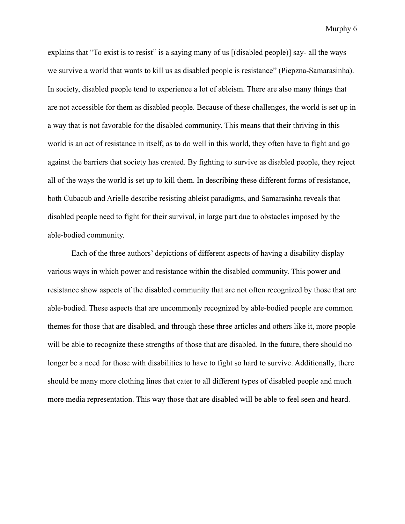explains that "To exist is to resist" is a saying many of us [(disabled people)] say- all the ways we survive a world that wants to kill us as disabled people is resistance" (Piepzna-Samarasinha). In society, disabled people tend to experience a lot of ableism. There are also many things that are not accessible for them as disabled people. Because of these challenges, the world is set up in a way that is not favorable for the disabled community. This means that their thriving in this world is an act of resistance in itself, as to do well in this world, they often have to fight and go against the barriers that society has created. By fighting to survive as disabled people, they reject all of the ways the world is set up to kill them. In describing these different forms of resistance, both Cubacub and Arielle describe resisting ableist paradigms, and Samarasinha reveals that disabled people need to fight for their survival, in large part due to obstacles imposed by the able-bodied community.

Each of the three authors' depictions of different aspects of having a disability display various ways in which power and resistance within the disabled community. This power and resistance show aspects of the disabled community that are not often recognized by those that are able-bodied. These aspects that are uncommonly recognized by able-bodied people are common themes for those that are disabled, and through these three articles and others like it, more people will be able to recognize these strengths of those that are disabled. In the future, there should no longer be a need for those with disabilities to have to fight so hard to survive. Additionally, there should be many more clothing lines that cater to all different types of disabled people and much more media representation. This way those that are disabled will be able to feel seen and heard.